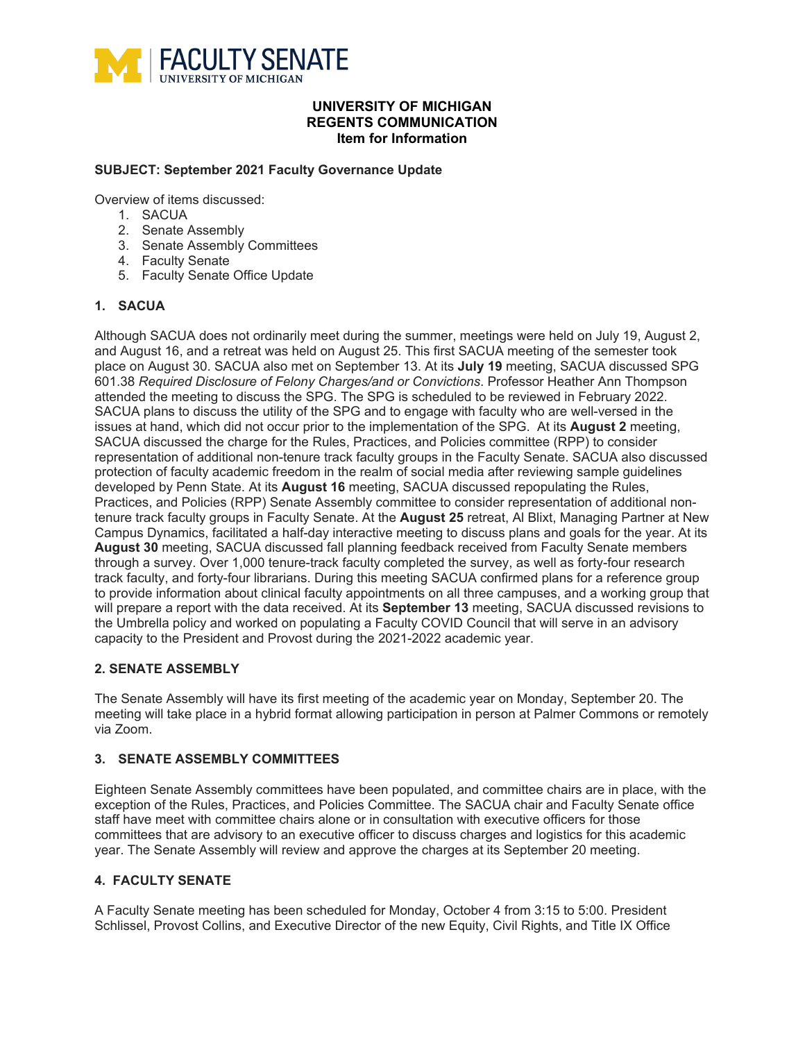

# **UNIVERSITY OF MICHIGAN REGENTS COMMUNICATION Item for Information**

### **SUBJECT: September 2021 Faculty Governance Update**

Overview of items discussed:

- 1. SACUA
- 2. Senate Assembly
- 3. Senate Assembly Committees
- 4. Faculty Senate
- 5. Faculty Senate Office Update

#### **1. SACUA**

Although SACUA does not ordinarily meet during the summer, meetings were held on July 19, August 2, and August 16, and a retreat was held on August 25. This first SACUA meeting of the semester took place on August 30. SACUA also met on September 13. At its **July 19** meeting, SACUA discussed SPG 601.38 *Required Disclosure of Felony Charges/and or Convictions*. Professor Heather Ann Thompson attended the meeting to discuss the SPG. The SPG is scheduled to be reviewed in February 2022. SACUA plans to discuss the utility of the SPG and to engage with faculty who are well-versed in the issues at hand, which did not occur prior to the implementation of the SPG. At its **August 2** meeting, SACUA discussed the charge for the Rules, Practices, and Policies committee (RPP) to consider representation of additional non-tenure track faculty groups in the Faculty Senate. SACUA also discussed protection of faculty academic freedom in the realm of social media after reviewing sample guidelines developed by Penn State. At its **August 16** meeting, SACUA discussed repopulating the Rules, Practices, and Policies (RPP) Senate Assembly committee to consider representation of additional nontenure track faculty groups in Faculty Senate. At the **August 25** retreat, Al Blixt, Managing Partner at New Campus Dynamics, facilitated a half-day interactive meeting to discuss plans and goals for the year. At its **August 30** meeting, SACUA discussed fall planning feedback received from Faculty Senate members through a survey. Over 1,000 tenure-track faculty completed the survey, as well as forty-four research track faculty, and forty-four librarians. During this meeting SACUA confirmed plans for a reference group to provide information about clinical faculty appointments on all three campuses, and a working group that will prepare a report with the data received. At its **September 13** meeting, SACUA discussed revisions to the Umbrella policy and worked on populating a Faculty COVID Council that will serve in an advisory capacity to the President and Provost during the 2021-2022 academic year.

#### **2. SENATE ASSEMBLY**

The Senate Assembly will have its first meeting of the academic year on Monday, September 20. The meeting will take place in a hybrid format allowing participation in person at Palmer Commons or remotely via Zoom.

#### **3. SENATE ASSEMBLY COMMITTEES**

Eighteen Senate Assembly committees have been populated, and committee chairs are in place, with the exception of the Rules, Practices, and Policies Committee. The SACUA chair and Faculty Senate office staff have meet with committee chairs alone or in consultation with executive officers for those committees that are advisory to an executive officer to discuss charges and logistics for this academic year. The Senate Assembly will review and approve the charges at its September 20 meeting.

#### **4. FACULTY SENATE**

A Faculty Senate meeting has been scheduled for Monday, October 4 from 3:15 to 5:00. President Schlissel, Provost Collins, and Executive Director of the new Equity, Civil Rights, and Title IX Office